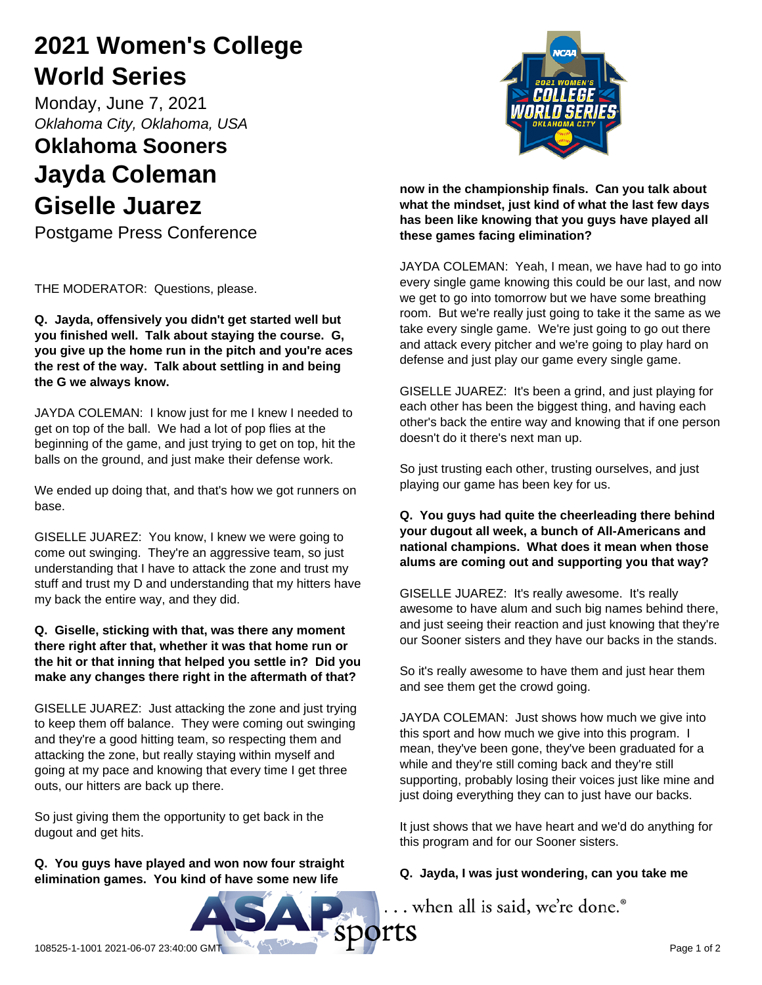# **2021 Women's College World Series**

Monday, June 7, 2021 *Oklahoma City, Oklahoma, USA*

### **Oklahoma Sooners Jayda Coleman Giselle Juarez**

Postgame Press Conference

THE MODERATOR: Questions, please.

**Q. Jayda, offensively you didn't get started well but you finished well. Talk about staying the course. G, you give up the home run in the pitch and you're aces the rest of the way. Talk about settling in and being the G we always know.**

JAYDA COLEMAN: I know just for me I knew I needed to get on top of the ball. We had a lot of pop flies at the beginning of the game, and just trying to get on top, hit the balls on the ground, and just make their defense work.

We ended up doing that, and that's how we got runners on base.

GISELLE JUAREZ: You know, I knew we were going to come out swinging. They're an aggressive team, so just understanding that I have to attack the zone and trust my stuff and trust my D and understanding that my hitters have my back the entire way, and they did.

### **Q. Giselle, sticking with that, was there any moment there right after that, whether it was that home run or the hit or that inning that helped you settle in? Did you make any changes there right in the aftermath of that?**

GISELLE JUAREZ: Just attacking the zone and just trying to keep them off balance. They were coming out swinging and they're a good hitting team, so respecting them and attacking the zone, but really staying within myself and going at my pace and knowing that every time I get three outs, our hitters are back up there.

So just giving them the opportunity to get back in the dugout and get hits.

**Q. You guys have played and won now four straight elimination games. You kind of have some new life**



**now in the championship finals. Can you talk about what the mindset, just kind of what the last few days has been like knowing that you guys have played all these games facing elimination?**

JAYDA COLEMAN: Yeah, I mean, we have had to go into every single game knowing this could be our last, and now we get to go into tomorrow but we have some breathing room. But we're really just going to take it the same as we take every single game. We're just going to go out there and attack every pitcher and we're going to play hard on defense and just play our game every single game.

GISELLE JUAREZ: It's been a grind, and just playing for each other has been the biggest thing, and having each other's back the entire way and knowing that if one person doesn't do it there's next man up.

So just trusting each other, trusting ourselves, and just playing our game has been key for us.

### **Q. You guys had quite the cheerleading there behind your dugout all week, a bunch of All-Americans and national champions. What does it mean when those alums are coming out and supporting you that way?**

GISELLE JUAREZ: It's really awesome. It's really awesome to have alum and such big names behind there, and just seeing their reaction and just knowing that they're our Sooner sisters and they have our backs in the stands.

So it's really awesome to have them and just hear them and see them get the crowd going.

JAYDA COLEMAN: Just shows how much we give into this sport and how much we give into this program. I mean, they've been gone, they've been graduated for a while and they're still coming back and they're still supporting, probably losing their voices just like mine and just doing everything they can to just have our backs.

It just shows that we have heart and we'd do anything for this program and for our Sooner sisters.

### **Q. Jayda, I was just wondering, can you take me**

... when all is said, we're done.®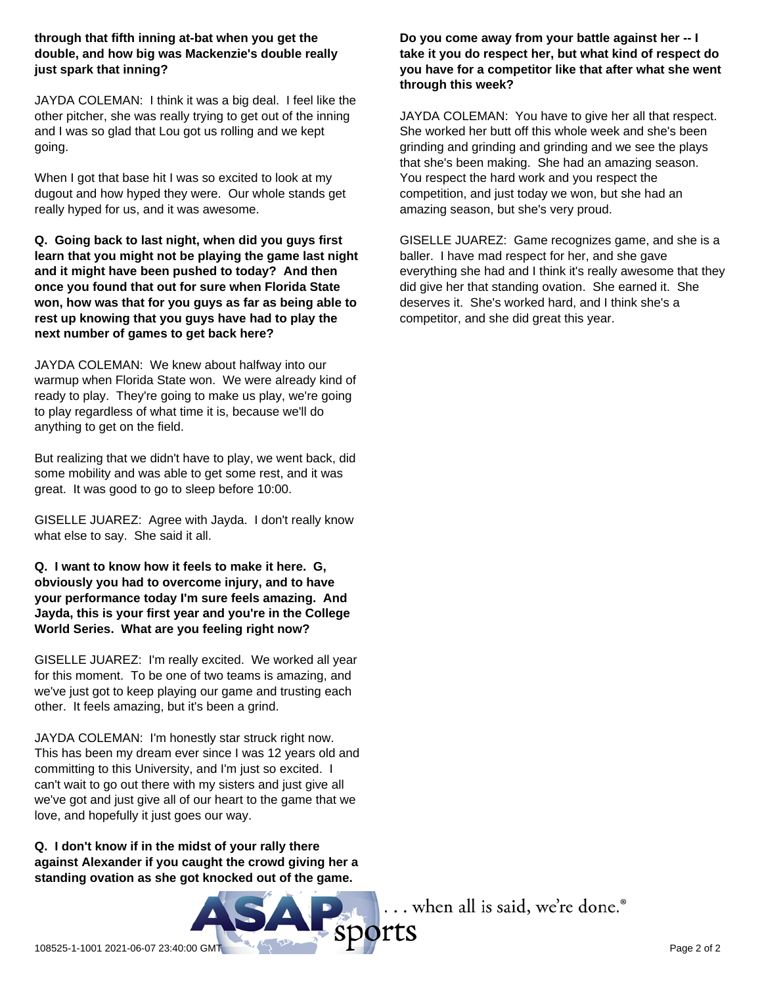### **through that fifth inning at-bat when you get the double, and how big was Mackenzie's double really just spark that inning?**

JAYDA COLEMAN: I think it was a big deal. I feel like the other pitcher, she was really trying to get out of the inning and I was so glad that Lou got us rolling and we kept going.

When I got that base hit I was so excited to look at my dugout and how hyped they were. Our whole stands get really hyped for us, and it was awesome.

**Q. Going back to last night, when did you guys first learn that you might not be playing the game last night and it might have been pushed to today? And then once you found that out for sure when Florida State won, how was that for you guys as far as being able to rest up knowing that you guys have had to play the next number of games to get back here?**

JAYDA COLEMAN: We knew about halfway into our warmup when Florida State won. We were already kind of ready to play. They're going to make us play, we're going to play regardless of what time it is, because we'll do anything to get on the field.

But realizing that we didn't have to play, we went back, did some mobility and was able to get some rest, and it was great. It was good to go to sleep before 10:00.

GISELLE JUAREZ: Agree with Jayda. I don't really know what else to say. She said it all.

**Q. I want to know how it feels to make it here. G, obviously you had to overcome injury, and to have your performance today I'm sure feels amazing. And Jayda, this is your first year and you're in the College World Series. What are you feeling right now?**

GISELLE JUAREZ: I'm really excited. We worked all year for this moment. To be one of two teams is amazing, and we've just got to keep playing our game and trusting each other. It feels amazing, but it's been a grind.

JAYDA COLEMAN: I'm honestly star struck right now. This has been my dream ever since I was 12 years old and committing to this University, and I'm just so excited. I can't wait to go out there with my sisters and just give all we've got and just give all of our heart to the game that we love, and hopefully it just goes our way.

**Q. I don't know if in the midst of your rally there against Alexander if you caught the crowd giving her a standing ovation as she got knocked out of the game.** 



### **Do you come away from your battle against her -- I take it you do respect her, but what kind of respect do you have for a competitor like that after what she went through this week?**

JAYDA COLEMAN: You have to give her all that respect. She worked her butt off this whole week and she's been grinding and grinding and grinding and we see the plays that she's been making. She had an amazing season. You respect the hard work and you respect the competition, and just today we won, but she had an amazing season, but she's very proud.

GISELLE JUAREZ: Game recognizes game, and she is a baller. I have mad respect for her, and she gave everything she had and I think it's really awesome that they did give her that standing ovation. She earned it. She deserves it. She's worked hard, and I think she's a competitor, and she did great this year.

... when all is said, we're done.®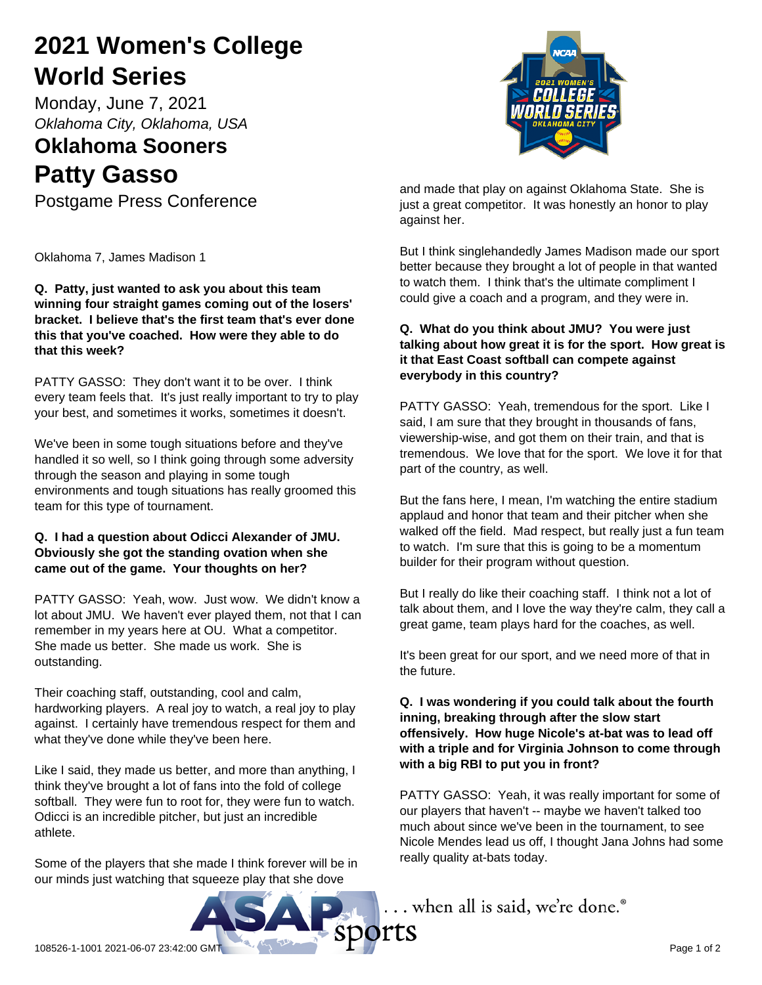# **2021 Women's College World Series**

Monday, June 7, 2021 *Oklahoma City, Oklahoma, USA*

### **Oklahoma Sooners Patty Gasso**

Postgame Press Conference

Oklahoma 7, James Madison 1

**Q. Patty, just wanted to ask you about this team winning four straight games coming out of the losers' bracket. I believe that's the first team that's ever done this that you've coached. How were they able to do that this week?**

PATTY GASSO: They don't want it to be over. I think every team feels that. It's just really important to try to play your best, and sometimes it works, sometimes it doesn't.

We've been in some tough situations before and they've handled it so well, so I think going through some adversity through the season and playing in some tough environments and tough situations has really groomed this team for this type of tournament.

### **Q. I had a question about Odicci Alexander of JMU. Obviously she got the standing ovation when she came out of the game. Your thoughts on her?**

PATTY GASSO: Yeah, wow. Just wow. We didn't know a lot about JMU. We haven't ever played them, not that I can remember in my years here at OU. What a competitor. She made us better. She made us work. She is outstanding.

Their coaching staff, outstanding, cool and calm, hardworking players. A real joy to watch, a real joy to play against. I certainly have tremendous respect for them and what they've done while they've been here.

Like I said, they made us better, and more than anything, I think they've brought a lot of fans into the fold of college softball. They were fun to root for, they were fun to watch. Odicci is an incredible pitcher, but just an incredible athlete.

Some of the players that she made I think forever will be in our minds just watching that squeeze play that she dove



and made that play on against Oklahoma State. She is just a great competitor. It was honestly an honor to play against her.

But I think singlehandedly James Madison made our sport better because they brought a lot of people in that wanted to watch them. I think that's the ultimate compliment I could give a coach and a program, and they were in.

### **Q. What do you think about JMU? You were just talking about how great it is for the sport. How great is it that East Coast softball can compete against everybody in this country?**

PATTY GASSO: Yeah, tremendous for the sport. Like I said, I am sure that they brought in thousands of fans, viewership-wise, and got them on their train, and that is tremendous. We love that for the sport. We love it for that part of the country, as well.

But the fans here, I mean, I'm watching the entire stadium applaud and honor that team and their pitcher when she walked off the field. Mad respect, but really just a fun team to watch. I'm sure that this is going to be a momentum builder for their program without question.

But I really do like their coaching staff. I think not a lot of talk about them, and I love the way they're calm, they call a great game, team plays hard for the coaches, as well.

It's been great for our sport, and we need more of that in the future.

### **Q. I was wondering if you could talk about the fourth inning, breaking through after the slow start offensively. How huge Nicole's at-bat was to lead off with a triple and for Virginia Johnson to come through with a big RBI to put you in front?**

PATTY GASSO: Yeah, it was really important for some of our players that haven't -- maybe we haven't talked too much about since we've been in the tournament, to see Nicole Mendes lead us off, I thought Jana Johns had some really quality at-bats today.

 $\ldots$  when all is said, we're done. $^\circ$